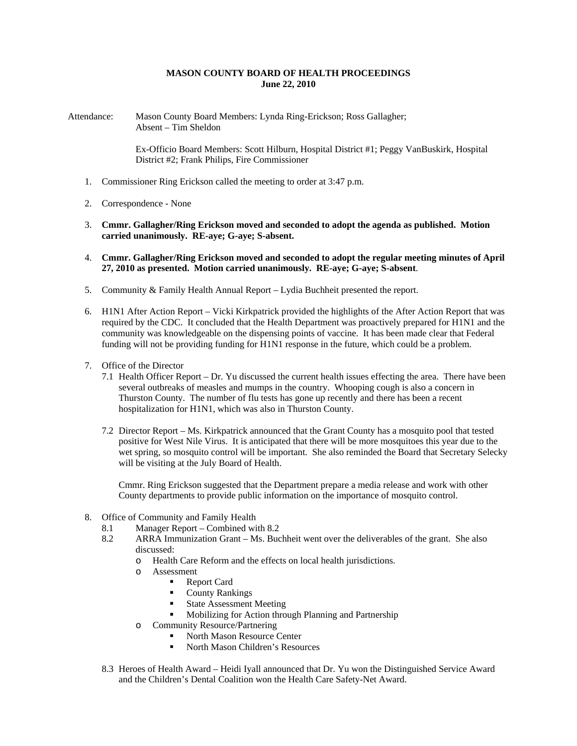## **MASON COUNTY BOARD OF HEALTH PROCEEDINGS June 22, 2010**

Attendance: Mason County Board Members: Lynda Ring-Erickson; Ross Gallagher; Absent – Tim Sheldon

> Ex-Officio Board Members: Scott Hilburn, Hospital District #1; Peggy VanBuskirk, Hospital District #2; Frank Philips, Fire Commissioner

- 1. Commissioner Ring Erickson called the meeting to order at 3:47 p.m.
- 2. Correspondence None
- 3. **Cmmr. Gallagher/Ring Erickson moved and seconded to adopt the agenda as published. Motion carried unanimously. RE-aye; G-aye; S-absent.**
- 4. **Cmmr. Gallagher/Ring Erickson moved and seconded to adopt the regular meeting minutes of April 27, 2010 as presented. Motion carried unanimously. RE-aye; G-aye; S-absent**.
- 5. Community & Family Health Annual Report Lydia Buchheit presented the report.
- 6. H1N1 After Action Report Vicki Kirkpatrick provided the highlights of the After Action Report that was required by the CDC. It concluded that the Health Department was proactively prepared for H1N1 and the community was knowledgeable on the dispensing points of vaccine. It has been made clear that Federal funding will not be providing funding for H1N1 response in the future, which could be a problem.
- 7. Office of the Director
	- 7.1 Health Officer Report Dr. Yu discussed the current health issues effecting the area. There have been several outbreaks of measles and mumps in the country. Whooping cough is also a concern in Thurston County. The number of flu tests has gone up recently and there has been a recent hospitalization for H1N1, which was also in Thurston County.
	- 7.2 Director Report Ms. Kirkpatrick announced that the Grant County has a mosquito pool that tested positive for West Nile Virus. It is anticipated that there will be more mosquitoes this year due to the wet spring, so mosquito control will be important. She also reminded the Board that Secretary Selecky will be visiting at the July Board of Health.

Cmmr. Ring Erickson suggested that the Department prepare a media release and work with other County departments to provide public information on the importance of mosquito control.

- 8. Office of Community and Family Health
	- 8.1 Manager Report Combined with 8.2
	- 8.2 ARRA Immunization Grant Ms. Buchheit went over the deliverables of the grant. She also discussed:
		- o Health Care Reform and the effects on local health jurisdictions.
		- o Assessment
			- Report Card
			- County Rankings
			- State Assessment Meeting
			- **Mobilizing for Action through Planning and Partnership**
		- o Community Resource/Partnering
			- North Mason Resource Center
			- North Mason Children's Resources
	- 8.3 Heroes of Health Award Heidi Iyall announced that Dr. Yu won the Distinguished Service Award and the Children's Dental Coalition won the Health Care Safety-Net Award.